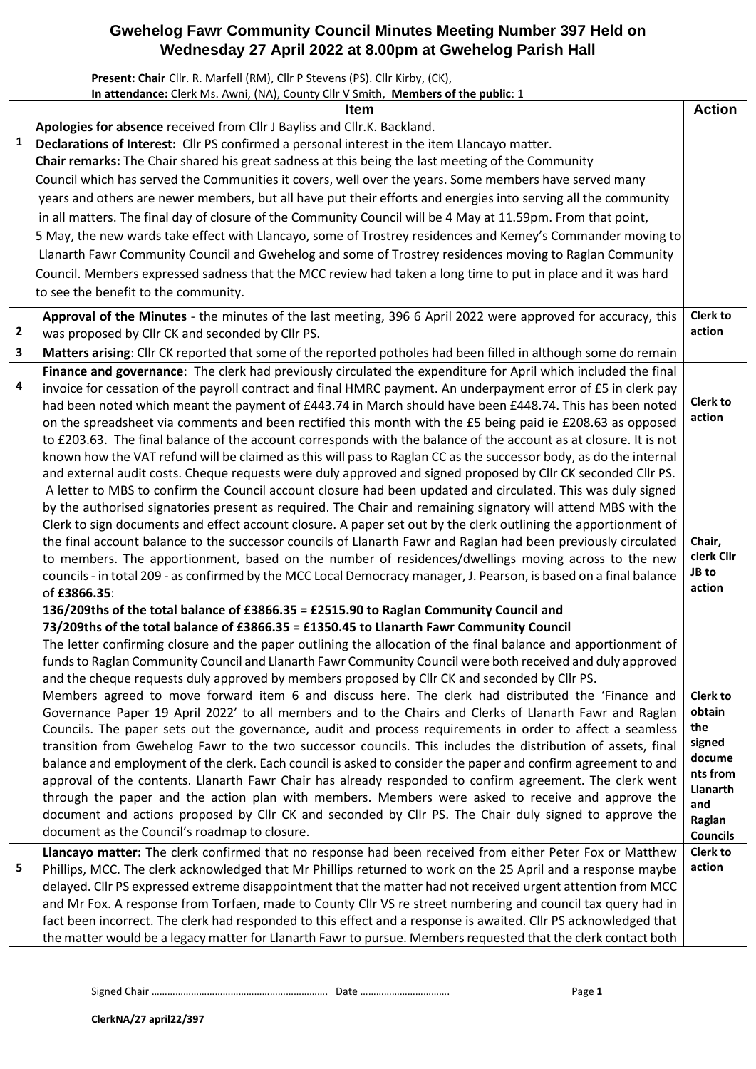## **Gwehelog Fawr Community Council Minutes Meeting Number 397 Held on Wednesday 27 April 2022 at 8.00pm at Gwehelog Parish Hall**

**Present: Chair** Cllr. R. Marfell (RM), Cllr P Stevens (PS). Cllr Kirby, (CK), **In attendance:** Clerk Ms. Awni, (NA), County Cllr V Smith, **Members of the public**: 1

|                         | channel bich his min, $(n, y)$ board for $x$ since $y$ members of the parallel $\pm$<br><b>Item</b>                                                                                                                                                                                                                                                                                                                                                                                                                                                                                                                                                                                                                                                                                                                                                                                                                                                                                                                                                                                                                                                                                                                                                                                         | <b>Action</b>                                                         |
|-------------------------|---------------------------------------------------------------------------------------------------------------------------------------------------------------------------------------------------------------------------------------------------------------------------------------------------------------------------------------------------------------------------------------------------------------------------------------------------------------------------------------------------------------------------------------------------------------------------------------------------------------------------------------------------------------------------------------------------------------------------------------------------------------------------------------------------------------------------------------------------------------------------------------------------------------------------------------------------------------------------------------------------------------------------------------------------------------------------------------------------------------------------------------------------------------------------------------------------------------------------------------------------------------------------------------------|-----------------------------------------------------------------------|
| 1                       | Apologies for absence received from Cllr J Bayliss and Cllr.K. Backland.<br>Declarations of Interest: Cllr PS confirmed a personal interest in the item Llancayo matter.<br>Chair remarks: The Chair shared his great sadness at this being the last meeting of the Community<br>Council which has served the Communities it covers, well over the years. Some members have served many<br>years and others are newer members, but all have put their efforts and energies into serving all the community<br>in all matters. The final day of closure of the Community Council will be 4 May at 11.59pm. From that point,<br>5 May, the new wards take effect with Llancayo, some of Trostrey residences and Kemey's Commander moving to<br>Llanarth Fawr Community Council and Gwehelog and some of Trostrey residences moving to Raglan Community<br>Council. Members expressed sadness that the MCC review had taken a long time to put in place and it was hard<br>to see the benefit to the community.                                                                                                                                                                                                                                                                                 |                                                                       |
| $\overline{\mathbf{2}}$ | Approval of the Minutes - the minutes of the last meeting, 396 6 April 2022 were approved for accuracy, this<br>was proposed by Cllr CK and seconded by Cllr PS.                                                                                                                                                                                                                                                                                                                                                                                                                                                                                                                                                                                                                                                                                                                                                                                                                                                                                                                                                                                                                                                                                                                            | <b>Clerk to</b><br>action                                             |
| $\overline{\mathbf{3}}$ | Matters arising: Cllr CK reported that some of the reported potholes had been filled in although some do remain                                                                                                                                                                                                                                                                                                                                                                                                                                                                                                                                                                                                                                                                                                                                                                                                                                                                                                                                                                                                                                                                                                                                                                             |                                                                       |
| 4                       | Finance and governance: The clerk had previously circulated the expenditure for April which included the final<br>invoice for cessation of the payroll contract and final HMRC payment. An underpayment error of £5 in clerk pay<br>had been noted which meant the payment of £443.74 in March should have been £448.74. This has been noted<br>on the spreadsheet via comments and been rectified this month with the £5 being paid ie £208.63 as opposed<br>to £203.63. The final balance of the account corresponds with the balance of the account as at closure. It is not<br>known how the VAT refund will be claimed as this will pass to Raglan CC as the successor body, as do the internal<br>and external audit costs. Cheque requests were duly approved and signed proposed by ClIr CK seconded ClIr PS.<br>A letter to MBS to confirm the Council account closure had been updated and circulated. This was duly signed<br>by the authorised signatories present as required. The Chair and remaining signatory will attend MBS with the<br>Clerk to sign documents and effect account closure. A paper set out by the clerk outlining the apportionment of<br>the final account balance to the successor councils of Llanarth Fawr and Raglan had been previously circulated | <b>Clerk to</b><br>action<br>Chair,                                   |
|                         | to members. The apportionment, based on the number of residences/dwellings moving across to the new<br>councils - in total 209 - as confirmed by the MCC Local Democracy manager, J. Pearson, is based on a final balance<br>of £3866.35:                                                                                                                                                                                                                                                                                                                                                                                                                                                                                                                                                                                                                                                                                                                                                                                                                                                                                                                                                                                                                                                   | clerk Cllr<br>JB to<br>action                                         |
|                         | 136/209ths of the total balance of £3866.35 = £2515.90 to Raglan Community Council and<br>73/209ths of the total balance of £3866.35 = £1350.45 to Llanarth Fawr Community Council<br>The letter confirming closure and the paper outlining the allocation of the final balance and apportionment of<br>funds to Raglan Community Council and Llanarth Fawr Community Council were both received and duly approved<br>and the cheque requests duly approved by members proposed by Cllr CK and seconded by Cllr PS.<br>Members agreed to move forward item 6 and discuss here. The clerk had distributed the 'Finance and<br>Governance Paper 19 April 2022' to all members and to the Chairs and Clerks of Llanarth Fawr and Raglan<br>Councils. The paper sets out the governance, audit and process requirements in order to affect a seamless<br>transition from Gwehelog Fawr to the two successor councils. This includes the distribution of assets, final<br>balance and employment of the clerk. Each council is asked to consider the paper and confirm agreement to and<br>approval of the contents. Llanarth Fawr Chair has already responded to confirm agreement. The clerk went                                                                                              | Clerk to<br>obtain<br>the<br>signed<br>docume<br>nts from<br>Llanarth |
|                         | through the paper and the action plan with members. Members were asked to receive and approve the<br>document and actions proposed by Cllr CK and seconded by Cllr PS. The Chair duly signed to approve the<br>document as the Council's roadmap to closure.                                                                                                                                                                                                                                                                                                                                                                                                                                                                                                                                                                                                                                                                                                                                                                                                                                                                                                                                                                                                                                | and<br>Raglan<br><b>Councils</b>                                      |
| 5                       | Llancayo matter: The clerk confirmed that no response had been received from either Peter Fox or Matthew<br>Phillips, MCC. The clerk acknowledged that Mr Phillips returned to work on the 25 April and a response maybe<br>delayed. Cllr PS expressed extreme disappointment that the matter had not received urgent attention from MCC<br>and Mr Fox. A response from Torfaen, made to County Cllr VS re street numbering and council tax query had in<br>fact been incorrect. The clerk had responded to this effect and a response is awaited. Cllr PS acknowledged that<br>the matter would be a legacy matter for Llanarth Fawr to pursue. Members requested that the clerk contact both                                                                                                                                                                                                                                                                                                                                                                                                                                                                                                                                                                                              | <b>Clerk to</b><br>action                                             |

Signed Chair …………………………………………………………. Date ……………………………. Page **1** 

**ClerkNA/27 april22/397**